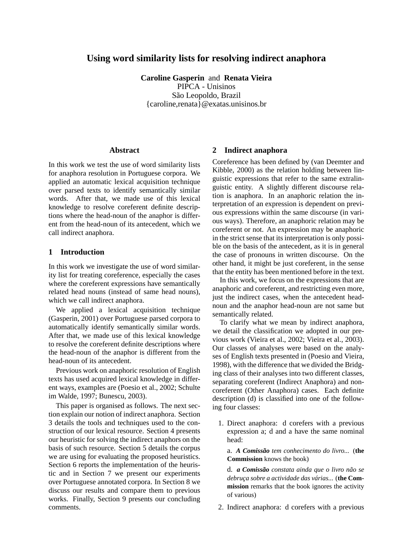# **Using word similarity lists for resolving indirect anaphora**

**Caroline Gasperin** and **Renata Vieira** PIPCA - Unisinos São Leopoldo, Brazil {caroline,renata}@exatas.unisinos.br

### **Abstract**

In this work we test the use of word similarity lists for anaphora resolution in Portuguese corpora. We applied an automatic lexical acquisition technique over parsed texts to identify semantically similar words. After that, we made use of this lexical knowledge to resolve coreferent definite descriptions where the head-noun of the anaphor is different from the head-noun of its antecedent, which we call indirect anaphora.

## **1 Introduction**

In this work we investigate the use of word similarity list for treating coreference, especially the cases where the coreferent expressions have semantically related head nouns (instead of same head nouns), which we call indirect anaphora.

We applied a lexical acquisition technique (Gasperin, 2001) over Portuguese parsed corpora to automatically identify semantically similar words. After that, we made use of this lexical knowledge to resolve the coreferent definite descriptions where the head-noun of the anaphor is different from the head-noun of its antecedent.

Previous work on anaphoric resolution of English texts has used acquired lexical knowledge in different ways, examples are (Poesio et al., 2002; Schulte im Walde, 1997; Bunescu, 2003).

This paper is organised as follows. The next section explain our notion of indirect anaphora. Section 3 details the tools and techniques used to the construction of our lexical resource. Section 4 presents our heuristic for solving the indirect anaphors on the basis of such resource. Section 5 details the corpus we are using for evaluating the proposed heuristics. Section 6 reports the implementation of the heuristic and in Section 7 we present our experiments over Portuguese annotated corpora. In Section 8 we discuss our results and compare them to previous works. Finally, Section 9 presents our concluding comments.

#### **2 Indirect anaphora**

Coreference has been defined by (van Deemter and Kibble, 2000) as the relation holding between linguistic expressions that refer to the same extralinguistic entity. A slightly different discourse relation is anaphora. In an anaphoric relation the interpretation of an expression is dependent on previous expressions within the same discourse (in various ways). Therefore, an anaphoric relation may be coreferent or not. An expression may be anaphoric in the strict sense that its interpretation is only possible on the basis of the antecedent, as it is in general the case of pronouns in written discourse. On the other hand, it might be just coreferent, in the sense that the entity has been mentioned before in the text.

In this work, we focus on the expressions that are anaphoric and coreferent, and restricting even more, just the indirect cases, when the antecedent headnoun and the anaphor head-noun are not same but semantically related.

To clarify what we mean by indirect anaphora, we detail the classification we adopted in our previous work (Vieira et al., 2002; Vieira et al., 2003). Our classes of analyses were based on the analyses of English texts presented in (Poesio and Vieira, 1998), with the difference that we divided the Bridging class of their analyses into two different classes, separating coreferent (Indirect Anaphora) and noncoreferent (Other Anaphora) cases. Each definite description (d) is classified into one of the following four classes:

1. Direct anaphora: d corefers with a previous expression a; d and a have the same nominal head:

a. *A Comissão tem conhecimento do livro...* (**the Commission** knows the book)

d. *a Comissão constata ainda que o livro não se debruça sobre a actividade das várias...* (**the Commission** remarks that the book ignores the activity of various)

2. Indirect anaphora: d corefers with a previous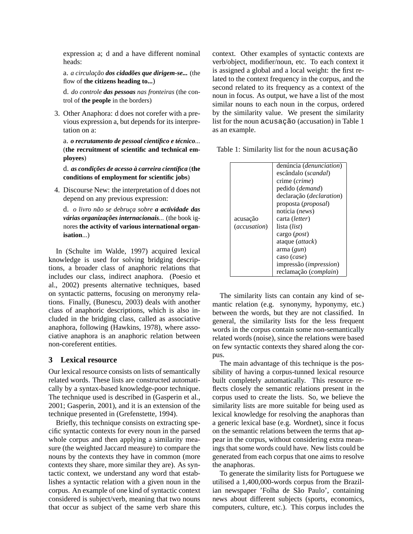expression a; d and a have different nominal heads:

a. *a circulação dos cidadões que dirigem-se...* (the flow of **the citizens heading to...**)

d. *do controle das pessoas nas fronteiras* (the control of **the people** in the borders)

3. Other Anaphora: d does not corefer with a previous expression a, but depends for its interpretation on a:

a. *o recrutamento de pessoal científico e técnico...* (**the recruitment of scientific and technical employees**)

d. *as condições de acesso à carreira científica* (**the conditions of employment for scientific jobs**)

4. Discourse New: the interpretation of d does not depend on any previous expression:

d. *o livro não se debruça sobre a actividade das várias organizações internacionais...* (the book ignores **the activity of various international organisation**...)

In (Schulte im Walde, 1997) acquired lexical knowledge is used for solving bridging descriptions, a broader class of anaphoric relations that includes our class, indirect anaphora. (Poesio et al., 2002) presents alternative techniques, based on syntactic patterns, focusing on meronymy relations. Finally, (Bunescu, 2003) deals with another class of anaphoric descriptions, which is also included in the bridging class, called as associative anaphora, following (Hawkins, 1978), where associative anaphora is an anaphoric relation between non-coreferent entities.

## **3 Lexical resource**

Our lexical resource consists on lists of semantically related words. These lists are constructed automatically by a syntax-based knowledge-poor technique. The technique used is described in (Gasperin et al., 2001; Gasperin, 2001), and it is an extension of the technique presented in (Grefenstette, 1994).

Briefly, this technique consists on extracting specific syntactic contexts for every noun in the parsed whole corpus and then applying a similarity measure (the weighted Jaccard measure) to compare the nouns by the contexts they have in common (more contexts they share, more similar they are). As syntactic context, we understand any word that establishes a syntactic relation with a given noun in the corpus. An example of one kind of syntactic context considered is subject/verb, meaning that two nouns that occur as subject of the same verb share this

context. Other examples of syntactic contexts are verb/object, modifier/noun, etc. To each context it is assigned a global and a local weight: the first related to the context frequency in the corpus, and the second related to its frequency as a context of the noun in focus. As output, we have a list of the most similar nouns to each noun in the corpus, ordered by the similarity value. We present the similarity list for the noun acusação (accusation) in Table 1 as an example.

Table 1: Similarity list for the noun acusação

|                          | denúncia (denunciation)<br>escândalo ( <i>scandal</i> )<br>crime ( <i>crime</i> )<br>pedido ( <i>demand</i> )<br>declaração (declaration) |
|--------------------------|-------------------------------------------------------------------------------------------------------------------------------------------|
|                          | proposta ( <i>proposal</i> )<br>notícia ( <i>news</i> )<br>carta (letter)                                                                 |
| acusação<br>(accusation) | lista ( <i>list</i> )                                                                                                                     |
|                          | cargo $(post)$                                                                                                                            |
|                          | ataque <i>(attack)</i>                                                                                                                    |
|                          | $\text{arma}\left(\text{gun}\right)$                                                                                                      |
|                          | caso ( <i>case</i> )                                                                                                                      |
|                          | impressão ( <i>impression</i> )                                                                                                           |
|                          | reclamação (complain)                                                                                                                     |

The similarity lists can contain any kind of semantic relation (e.g. synonymy, hyponymy, etc.) between the words, but they are not classified. In general, the similarity lists for the less frequent words in the corpus contain some non-semantically related words (noise), since the relations were based on few syntactic contexts they shared along the corpus.

The main advantage of this technique is the possibility of having a corpus-tunned lexical resource built completely automatically. This resource reflects closely the semantic relations present in the corpus used to create the lists. So, we believe the similarity lists are more suitable for being used as lexical knowledge for resolving the anaphoras than a generic lexical base (e.g. Wordnet), since it focus on the semantic relations between the terms that appear in the corpus, without considering extra meanings that some words could have. New lists could be generated from each corpus that one aims to resolve the anaphoras.

To generate the similarity lists for Portuguese we utilised a 1,400,000-words corpus from the Brazilian newspaper 'Folha de São Paulo', containing news about different subjects (sports, economics, computers, culture, etc.). This corpus includes the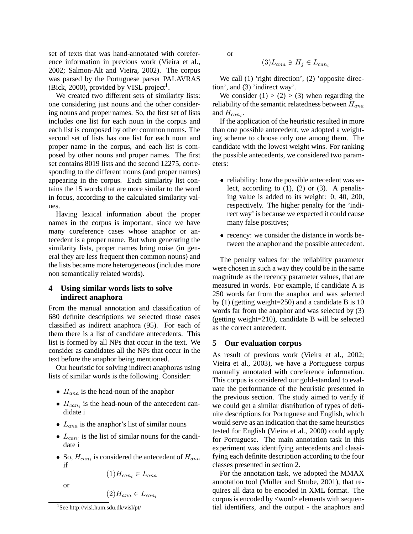set of texts that was hand-annotated with coreference information in previous work (Vieira et al., 2002; Salmon-Alt and Vieira, 2002). The corpus was parsed by the Portuguese parser PALAVRAS (Bick, 2000), provided by VISL project<sup>1</sup>.

We created two different sets of similarity lists: one considering just nouns and the other considering nouns and proper names. So, the first set of lists includes one list for each noun in the corpus and each list is composed by other common nouns. The second set of lists has one list for each noun and proper name in the corpus, and each list is composed by other nouns and proper names. The first set contains 8019 lists and the second 12275, corresponding to the different nouns (and proper names) appearing in the corpus. Each similarity list contains the 15 words that are more similar to the word in focus, according to the calculated similarity values.

Having lexical information about the proper names in the corpus is important, since we have many coreference cases whose anaphor or antecedent is a proper name. But when generating the similarity lists, proper names bring noise (in general they are less frequent then common nouns) and the lists became more heterogeneous (includes more non semantically related words).

# **4 Using similar words lists to solve indirect anaphora**

From the manual annotation and classification of 680 definite descriptions we selected those cases classified as indirect anaphora (95). For each of them there is a list of candidate antecedents. This list is formed by all NPs that occur in the text. We consider as candidates all the NPs that occur in the text before the anaphor being mentioned.

Our heuristic for solving indirect anaphoras using lists of similar words is the following. Consider:

- $H_{ana}$  is the head-noun of the anaphor
- $H_{can_i}$  is the head-noun of the antecedent candidate i
- $L_{ana}$  is the anaphor's list of similar nouns
- $L_{can_i}$  is the list of similar nouns for the candidate i
- So,  $H_{can_i}$  is considered the antecedent of  $H_{ana}$ if

$$
(1)H_{can_i} \in L_{ana}
$$

or

$$
(2)H_{ana} \in L_{can}
$$

or

$$
(3)L_{ana} \ni H_j \in L_{can_i}
$$

We call (1) 'right direction', (2) 'opposite direction', and (3) 'indirect way'.

We consider  $(1) > (2) > (3)$  when regarding the reliability of the semantic relatedness between  $H_{ana}$ and  $H_{can_i}$ .

If the application of the heuristic resulted in more than one possible antecedent, we adopted a weighting scheme to choose only one among them. The candidate with the lowest weight wins. For ranking the possible antecedents, we considered two parameters:

- reliability: how the possible antecedent was select, according to  $(1)$ ,  $(2)$  or  $(3)$ . A penalising value is added to its weight: 0, 40, 200, respectively. The higher penalty for the 'indirect way' is because we expected it could cause many false positives;
- recency: we consider the distance in words between the anaphor and the possible antecedent.

The penalty values for the reliability parameter were chosen in such a way they could be in the same magnitude as the recency parameter values, that are measured in words. For example, if candidate A is 250 words far from the anaphor and was selected by (1) (getting weight=250) and a candidate B is 10 words far from the anaphor and was selected by (3) (getting weight=210), candidate B will be selected as the correct antecedent.

#### **5 Our evaluation corpus**

As result of previous work (Vieira et al., 2002; Vieira et al., 2003), we have a Portuguese corpus manually annotated with coreference information. This corpus is considered our gold-standard to evaluate the performance of the heuristic presented in the previous section. The study aimed to verify if we could get a similar distribution of types of definite descriptions for Portuguese and English, which would serve as an indication that the same heuristics tested for English (Vieira et al., 2000) could apply for Portuguese. The main annotation task in this experiment was identifying antecedents and classifying each definite description according to the four classes presented in section 2.

For the annotation task, we adopted the MMAX annotation tool (Müller and Strube, 2001), that requires all data to be encoded in XML format. The corpus is encoded by <word> elements with sequential identifiers, and the output - the anaphors and

<sup>1</sup> See http://visl.hum.sdu.dk/visl/pt/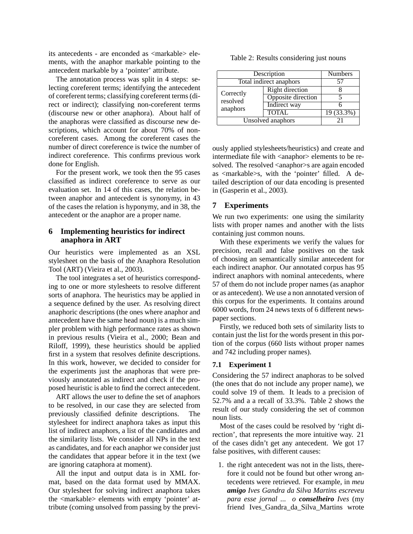its antecedents - are enconded as <markable> elements, with the anaphor markable pointing to the antecedent markable by a 'pointer' attribute.

The annotation process was split in 4 steps: selecting coreferent terms; identifying the antecedent of coreferent terms; classifying coreferent terms (direct or indirect); classifying non-coreferent terms (discourse new or other anaphora). About half of the anaphoras were classified as discourse new descriptions, which account for about 70% of noncoreferent cases. Among the coreferent cases the number of direct coreference is twice the number of indirect coreference. This confirms previous work done for English.

For the present work, we took then the 95 cases classified as indirect coreference to serve as our evaluation set. In 14 of this cases, the relation between anaphor and antecedent is synonymy, in 43 of the cases the relation is hyponymy, and in 38, the antecedent or the anaphor are a proper name.

### **6 Implementing heuristics for indirect anaphora in ART**

Our heuristics were implemented as an XSL stylesheet on the basis of the Anaphora Resolution Tool (ART) (Vieira et al., 2003).

The tool integrates a set of heuristics corresponding to one or more stylesheets to resolve different sorts of anaphora. The heuristics may be applied in a sequence defined by the user. As resolving direct anaphoric descriptions (the ones where anaphor and antecedent have the same head noun) is a much simpler problem with high performance rates as shown in previous results (Vieira et al., 2000; Bean and Riloff, 1999), these heuristics should be applied first in a system that resolves definite descriptions. In this work, however, we decided to consider for the experiments just the anaphoras that were previously annotated as indirect and check if the proposed heuristic is able to find the correct antecedent.

ART allows the user to define the set of anaphors to be resolved, in our case they are selected from previously classified definite descriptions. The stylesheet for indirect anaphora takes as input this list of indirect anaphors, a list of the candidates and the similarity lists. We consider all NPs in the text as candidates, and for each anaphor we consider just the candidates that appear before it in the text (we are ignoring cataphora at moment).

All the input and output data is in XML format, based on the data format used by MMAX. Our stylesheet for solving indirect anaphora takes the <markable> elements with empty 'pointer' attribute (coming unsolved from passing by the previ-

|  | Table 2: Results considering just nouns |  |
|--|-----------------------------------------|--|
|  |                                         |  |
|  |                                         |  |

| Description                       |                        | <b>Numbers</b> |
|-----------------------------------|------------------------|----------------|
| Total indirect anaphors           |                        | 57             |
| Correctly<br>resolved<br>anaphors | <b>Right direction</b> |                |
|                                   | Opposite direction     |                |
|                                   | <b>Indirect</b> way    |                |
|                                   | <b>TOTAL</b>           | $19(33.3\%)$   |
| Unsolved anaphors                 |                        | $\gamma$       |

ously applied stylesheets/heuristics) and create and intermediate file with <anaphor> elements to be resolved. The resolved <anaphor>s are again encoded as <markable>s, with the 'pointer' filled. A detailed description of our data encoding is presented in (Gasperin et al., 2003).

### **7 Experiments**

We run two experiments: one using the similarity lists with proper names and another with the lists containing just common nouns.

With these experiments we verify the values for precision, recall and false positives on the task of choosing an semantically similar antecedent for each indirect anaphor. Our annotated corpus has 95 indirect anaphors with nominal antecedents, where 57 of them do not include proper names (as anaphor or as antecedent). We use a non annotated version of this corpus for the experiments. It contains around 6000 words, from 24 news texts of 6 different newspaper sections.

Firstly, we reduced both sets of similarity lists to contain just the list for the words present in this portion of the corpus (660 lists without proper names and 742 including proper names).

#### **7.1 Experiment 1**

Considering the 57 indirect anaphoras to be solved (the ones that do not include any proper name), we could solve 19 of them. It leads to a precision of 52.7% and a a recall of 33.3%. Table 2 shows the result of our study considering the set of common noun lists.

Most of the cases could be resolved by 'right direction', that represents the more intuitive way. 21 of the cases didn't get any antecedent. We got 17 false positives, with different causes:

1. the right antecedent was not in the lists, therefore it could not be found but other wrong antecedents were retrieved. For example, in *meu amigo Ives Gandra da Silva Martins escreveu para esse jornal ... o conselheiro Ives* (my friend Ives\_Gandra\_da\_Silva\_Martins wrote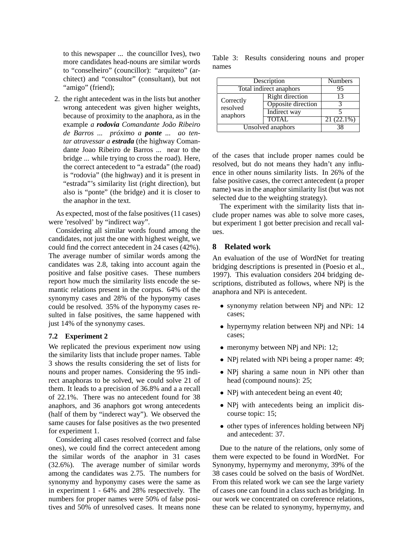to this newspaper ... the councillor Ives), two more candidates head-nouns are similar words to "conselheiro" (councillor): "arquiteto" (architect) and "consultor" (consultant), but not "amigo" (friend);

2. the right antecedent was in the lists but another wrong antecedent was given higher weights, because of proximity to the anaphora, as in the example *a rodovia Comandante João Ribeiro de Barros ... próximo a ponte ... ao tentar atravessar a estrada* (the highway Comandante Joao Ribeiro de Barros ... near to the bridge ... while trying to cross the road). Here, the correct antecedent to "a estrada" (the road) is "rodovia" (the highway) and it is present in "estrada"'s similarity list (right direction), but also is "ponte" (the bridge) and it is closer to the anaphor in the text.

As expected, most of the false positives (11 cases) were 'resolved' by "indirect way".

Considering all similar words found among the candidates, not just the one with highest weight, we could find the correct antecedent in 24 cases (42%). The average number of similar words among the candidates was 2.8, taking into account again the positive and false positive cases. These numbers report how much the similarity lists encode the semantic relations present in the corpus. 64% of the synonymy cases and 28% of the hyponymy cases could be resolved. 35% of the hyponymy cases resulted in false positives, the same happened with just 14% of the synonymy cases.

### **7.2 Experiment 2**

We replicated the previous experiment now using the similarity lists that include proper names. Table 3 shows the results considering the set of lists for nouns and proper names. Considering the 95 indirect anaphoras to be solved, we could solve 21 of them. It leads to a precision of 36.8% and a a recall of 22.1%. There was no antecedent found for 38 anaphors, and 36 anaphors got wrong antecedents (half of them by "inderect way"). We observed the same causes for false positives as the two presented for experiment 1.

Considering all cases resolved (correct and false ones), we could find the correct antecedent among the similar words of the anaphor in 31 cases (32.6%). The average number of similar words among the candidates was 2.75. The numbers for synonymy and hyponymy cases were the same as in experiment 1 - 64% and 28% respectively. The numbers for proper names were 50% of false positives and 50% of unresolved cases. It means none

Table 3: Results considering nouns and proper names

| Description                       |                        | <b>Numbers</b> |
|-----------------------------------|------------------------|----------------|
| Total indirect anaphors           |                        | 95             |
| Correctly<br>resolved<br>anaphors | <b>Right direction</b> | 13             |
|                                   | Opposite direction     |                |
|                                   | Indirect way           |                |
|                                   | <b>TOTAL</b>           | $21(22.1\%)$   |
| Unsolved anaphors                 |                        | 38             |

of the cases that include proper names could be resolved, but do not means they hadn't any influence in other nouns similarity lists. In 26% of the false positive cases, the correct antecedent (a proper name) was in the anaphor similarity list (but was not selected due to the weighting strategy).

The experiment with the similarity lists that include proper names was able to solve more cases, but experiment 1 got better precision and recall values.

## **8 Related work**

An evaluation of the use of WordNet for treating bridging descriptions is presented in (Poesio et al., 1997). This evaluation considers 204 bridging descriptions, distributed as follows, where NPj is the anaphora and NPi is antecedent.

- synonymy relation between NPj and NPi: 12 cases;
- hypernymy relation between NPj and NPi: 14 cases;
- meronymy between NP<sub>i</sub> and NP<sub>i</sub>: 12;
- NPj related with NPi being a proper name: 49;
- NPj sharing a same noun in NPi other than head (compound nouns): 25;
- NPj with antecedent being an event 40;
- NPj with antecedents being an implicit discourse topic: 15;
- other types of inferences holding between NPj and antecedent: 37.

Due to the nature of the relations, only some of them were expected to be found in WordNet. For Synonymy, hypernymy and meronymy, 39% of the 38 cases could be solved on the basis of WordNet. From this related work we can see the large variety of cases one can found in a class such as bridging. In our work we concentrated on coreference relations, these can be related to synonymy, hypernymy, and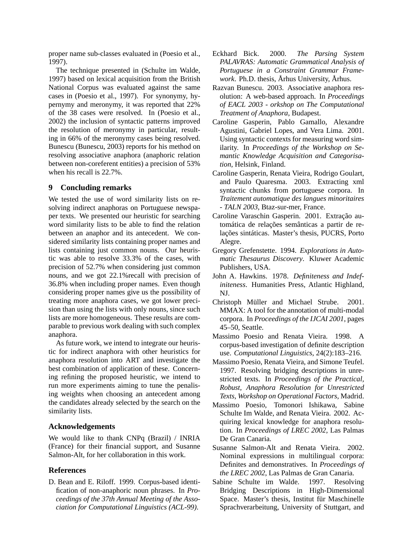proper name sub-classes evaluated in (Poesio et al., 1997).

The technique presented in (Schulte im Walde, 1997) based on lexical acquisition from the British National Corpus was evaluated against the same cases in (Poesio et al., 1997). For synonymy, hypernymy and meronymy, it was reported that 22% of the 38 cases were resolved. In (Poesio et al., 2002) the inclusion of syntactic patterns improved the resolution of meronymy in particular, resulting in 66% of the meronymy cases being resolved. Bunescu (Bunescu, 2003) reports for his method on resolving associative anaphora (anaphoric relation between non-coreferent entities) a precision of 53% when his recall is 22.7%.

### **9 Concluding remarks**

We tested the use of word similarity lists on resolving indirect anaphoras on Portuguese newspaper texts. We presented our heuristic for searching word similarity lists to be able to find the relation between an anaphor and its antecedent. We considered similarity lists containing proper names and lists containing just common nouns. Our heuristic was able to resolve 33.3% of the cases, with precision of 52.7% when considering just common nouns, and we got 22.1%recall with precision of 36.8% when including proper names. Even though considering proper names give us the possibility of treating more anaphora cases, we got lower precision than using the lists with only nouns, since such lists are more homogeneous. These results are comparable to previous work dealing with such complex anaphora.

As future work, we intend to integrate our heuristic for indirect anaphora with other heuristics for anaphora resolution into ART and investigate the best combination of application of these. Concerning refining the proposed heuristic, we intend to run more experiments aiming to tune the penalising weights when choosing an antecedent among the candidates already selected by the search on the similarity lists.

### **Acknowledgements**

We would like to thank CNPq (Brazil) / INRIA (France) for their financial support, and Susanne Salmon-Alt, for her collaboration in this work.

# **References**

D. Bean and E. Riloff. 1999. Corpus-based identification of non-anaphoric noun phrases. In *Proceedings of the 37th Annual Meeting of the Association for Computational Linguistics (ACL-99)*.

- Eckhard Bick. 2000. *The Parsing System PALAVRAS: Automatic Grammatical Analysis of Portuguese in a Constraint Grammar Framework*. Ph.D. thesis, Århus University, Århus.
- Razvan Bunescu. 2003. Associative anaphora resolution: A web-based approach. In *Proceedings of EACL 2003 - orkshop on The Computational Treatment of Anaphora*, Budapest.
- Caroline Gasperin, Pablo Gamallo, Alexandre Agustini, Gabriel Lopes, and Vera Lima. 2001. Using syntactic contexts for measuring word similarity. In *Proceedings of the Workshop on Semantic Knowledge Acquisition and Categorisation*, Helsink, Finland.
- Caroline Gasperin, Renata Vieira, Rodrigo Goulart, and Paulo Quaresma. 2003. Extracting xml syntactic chunks from portuguese corpora. In *Traitement automatique des langues minoritaires - TALN 2003*, Btaz-sur-mer, France.
- Caroline Varaschin Gasperin. 2001. Extração automática de relações semânticas a partir de relações sintáticas. Master's thesis, PUCRS, Porto Alegre.
- Gregory Grefenstette. 1994. *Explorations in Automatic Thesaurus Discovery*. Kluwer Academic Publishers, USA.
- John A. Hawkins. 1978. *Definiteness and Indefiniteness*. Humanities Press, Atlantic Highland, NJ.
- Christoph Müller and Michael Strube. 2001. MMAX: A tool for the annotation of multi-modal corpora. In *Proceedings of the IJCAI 2001*, pages 45–50, Seattle.
- Massimo Poesio and Renata Vieira. 1998. A corpus-based investigation of definite description use. *Computational Linguistics*, 24(2):183–216.
- Massimo Poesio, Renata Vieira, and Simone Teufel. 1997. Resolving bridging descriptions in unrestricted texts. In *Proceedings of the Practical, Robust, Anaphora Resolution for Unrestricted Texts, Workshop on Operational Factors*, Madrid.
- Massimo Poesio, Tomonori Ishikawa, Sabine Schulte Im Walde, and Renata Vieira. 2002. Acquiring lexical knowledge for anaphora resolution. In *Proceedings of LREC 2002*, Las Palmas De Gran Canaria.
- Susanne Salmon-Alt and Renata Vieira. 2002. Nominal expressions in multilingual corpora: Definites and demonstratives. In *Proceedings of the LREC 2002*, Las Palmas de Gran Canaria.
- Sabine Schulte im Walde. 1997. Resolving Bridging Descriptions in High-Dimensional Space. Master's thesis, Institut für Maschinelle Sprachverarbeitung, University of Stuttgart, and